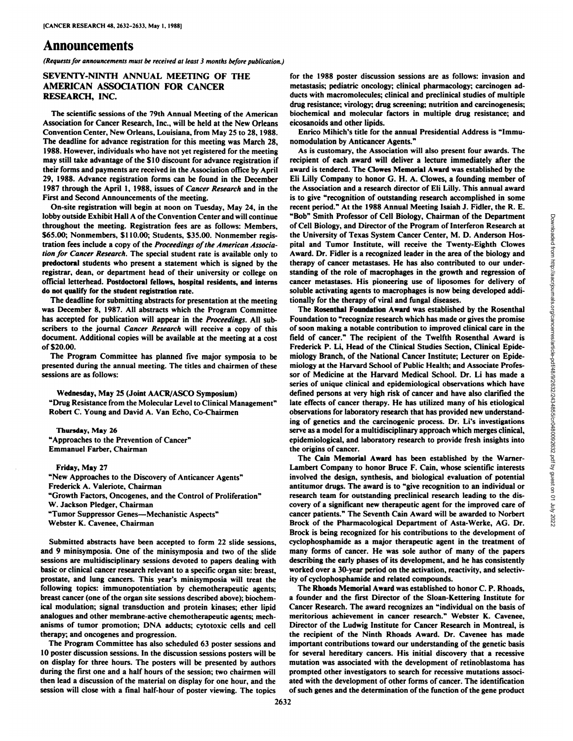# Announcements

*(Requests for announcements must be received at least 3 months before publication.)*

#### SEVENTY-NINTH ANNUAL MEETING OF THE AMERICAN ASSOCIATION FOR CANCER RESEARCH, INC.

The scientific sessions of the 79th Annual Meeting of the American Association for Cancer Research, Inc., will be held at the New Orleans eicosanoids and other lipids. Convention Center, New Orleans, Louisiana, from May 25 to 28, 1988. The deadline for advance registration for this meeting was March 28, 1988. However, individuals who have not yet registered for the meeting may still take advantage of the \$10 discount for advance registration if their forms and payments are received in the Association office by April 29, 1988. Advance registration forms can be found in the December 1987 through the April 1, 1988, issues of Cancer Research and in the First and Second Announcements of the meeting.

On-site registration will begin at noon on Tuesday, May 24, in the lobby outside Exhibit Hall A of the Convention Center and will continue throughout the meeting. Registration fees are as follows: Members, \$65.00; Nonmembers, \$110.00; Students, \$35.00. Nonmember regis tration fees include a copy of the Proceedings of the American Associa*tion for Cancer Research. The special student rate is available only to* predoctoral students who present a statement which is signed by the registrar, dean, or department head of their university or college on official letterhead. Postdoctoral fellows, hospital residents, and interns do not qualify for the student registration rate.

The deadline for submitting abstracts for presentation at the meeting was December 8, 1987. All abstracts which the Program Committee has accepted for publication will appear in the Proceedings. All subscribers to the journal Cancer Research will receive a copy of this document. Additional copies will be available at the meeting at a cost of \$20.00.

The Program Committee has planned five major symposia to be presented during the annual meeting. The titles and chairmen of these sessions are as follows:

Wednesday, May <sup>25</sup> (Joint AACR/ASCO Symposium) "Drug Resistance from the Molecular Level to Clinical Management" Robert C. Young and David A. Van Echo, Co-Chairmen

**Thursday, May 26** "Approaches to the Prevention of Cancer" Emmanuel Farber, Chairman

Friday, May 27 "New Approaches to the Discovery of Anticancer Agents" Frederick A. Valeriote, Chairman "Growth Factors, Oncogenes, and the Control of Proliferation" W. Jackson Pledger, Chairman "Tumor Suppressor Genes—Mechanistic Aspects" Webster K. Cavenee, Chairman

Submitted abstracts have been accepted to form 22 slide sessions, and 9 minisymposia. One of the minisymposia and two of the slide sessions are multidisciplinary sessions devoted to papers dealing with basic or clinical cancer research relevant to a specific organ site: breast, prostate, and lung cancers. This year's minisymposia will treat the following topics: immunopotentiation by chemotherapeutic agents; breast cancer (one of the organ site sessions described above); biochem ical modulation; signal transduction and protein kinases; ether lipid analogues and other membrane-active chemotherapeutic agents; mech anisms of tumor promotion; DNA adducts; cytotoxic cells and cell therapy; and oncogenes and progression.

The Program Committee has also scheduled 63 poster sessions and 10 poster discussion sessions. In the discussion sessions posters will be on display for three hours. The posters will be presented by authors during the first one and a half hours of the session; two chairmen will then lead a discussion of the material on display for one hour, and the session will close with a final half-hour of poster viewing. The topics for the 1988 poster discussion sessions are as follows: invasion and metastasis; pediatrie oncology; clinical pharmacology; carcinogen adducts with macromolecules; clinical and preclinical studies of multiple drug resistance; virology; drug screening; nutrition and carcinogenesis; biochemical and molecular factors in multiple drug resistance; and

Enrico Mihich's title for the annual Presidential Address is "Immunomodulation by Anticancer Agents."

As is customary, the Association will also present four awards. The recipient of each award will deliver a lecture immediately after the award is tendered. The Clowes Memorial Award was established by the Eli Lilly Company to honor G. H. A. Clowes, a founding member of the Association and a research director of Eli Lilly. This annual award is to give "recognition of outstanding research accomplished in some recent period." At the 1988 Annual Meeting Isaiah J. Fidler, the R. E. "Bob" Smith Professor of Cell Biology, Chairman of the Department of Cell Biology, and Director of the Program of Interferon Research at the University of Texas System Cancer Center, M. D. Anderson Hos pital and Tumor Institute, will receive the Twenty-Eighth Clowes therapy of cancer metastases. He has also contributed to our understanding of the role of macrophages in the growth and regression of cancer metastases. His pioneering use of liposomes for delivery of soluble activating agents to macrophages is now being developed addi tionally for the therapy of viral and fungal diseases.

"Book" Smith Professor of Cell Biology, Chairman of the Pepartment<br>of Cell Biology, and Director of the Program of Interferon Research at<br>the University of Texas System Cancer Center, M. D. Anderson Hos-<br>pital and Turnor The Rosenthal Foundation Award was established by the Rosenthal Foundation to "recognize research which has made or gives the promise of soon making a notable contribution to improved clinical care in the field of cancer." The recipient of the Twelfth Rosenthal Award is Frederick P. Li, Head of the Clinical Studies Section, Clinical Epide miology Branch, of the National Cancer Institute; Lecturer on Epide miology at the Harvard School of Public Health; and Associate Profes sor of Medicine at the Harvard Medical School. Dr. Li has made a series of unique clinical and epidemiological observations which have defined persons at very high risk of cancer and have also clarified the late effects of cancer therapy. He has utilized many of his etiological observations for laboratory research that has provided new understand ing of genetics and the carcinogenic process. Dr. Li's investigations serve as a model for a multidisciplinary approach which merges clinical, epidemiological, and laboratory research to provide fresh insights into the origins of cancer.

The Cain Memorial Award has been established by the Warner-Lambert Company to honor Bruce F. Cain, whose scientific interests involved the design, synthesis, and biological evaluation of potential antitumor drugs. The award is to "give recognition to an individual or research team for outstanding preclinical research leading to the dis covery of a significant new therapeutic agent for the improved care of cancer patients." The Seventh Cain Award will be awarded to Norbert Brock of the Pharmacological Department of Asta-Werke, AG. Dr. Brock is being recognized for his contributions to the development of cyclophosphamide as a major therapeutic agent in the treatment of many forms of cancer. He was sole author of many of the papers describing the early phases of its development, and he has consistently worked over a 30-year period on the activation, reactivity, and selectiv ity of cyclophosphamide and related compounds.

The Rhoads Memorial Award was established to honor C. P. Rhoads, a founder and the first Director of the Sloan-Kettering Institute for Cancer Research. The award recognizes an "individual on the basis of meritorious achievement in cancer research." Webster K. Cavenee, Director of the Ludwig Institute for Cancer Research in Montreal, is the recipient of the Ninth Rhoads Award. Dr. Cavenee has made important contributions toward our understanding of the genetic basis for several hereditary cancers. His initial discovery that a recessive mutation was associated with the development of retinoblastoma has prompted other investigators to search for recessive mutations associ ated with the development of other forms of cancer. The identification of such genes and the determination of the function of the gene product